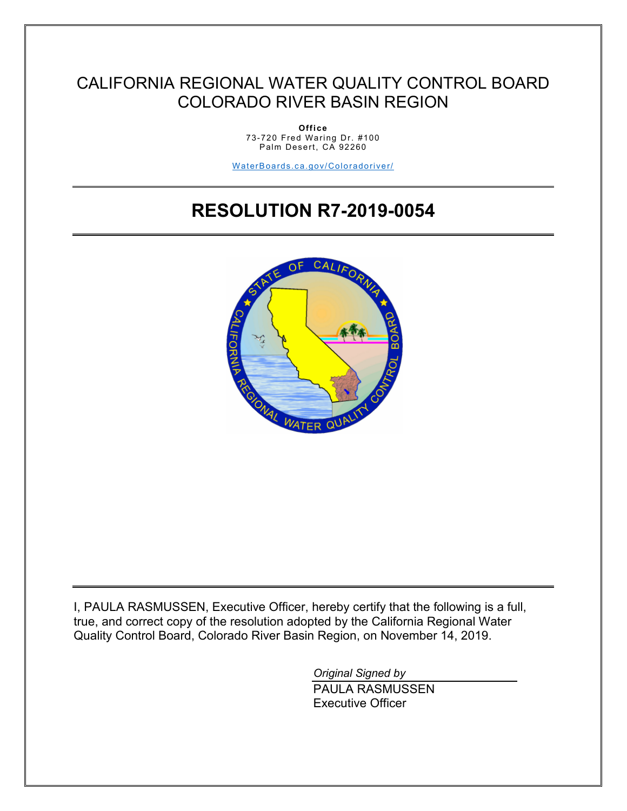# CALIFORNIA REGIONAL WATER QUALITY CONTROL BOARD COLORADO RIVER BASIN REGION

**Office** 73-720 Fred Waring Dr. #100 Palm Desert, CA 92260

[WaterBoards.ca.gov/Coloradoriver/](https://www.waterboards.ca.gov/centralvalley/)

# **RESOLUTION R7-2019-0054**



I, PAULA RASMUSSEN, Executive Officer, hereby certify that the following is a full, true, and correct copy of the resolution adopted by the California Regional Water Quality Control Board, Colorado River Basin Region, on November 14, 2019.

> *Original Signed by*  PAULA RASMUSSEN Executive Officer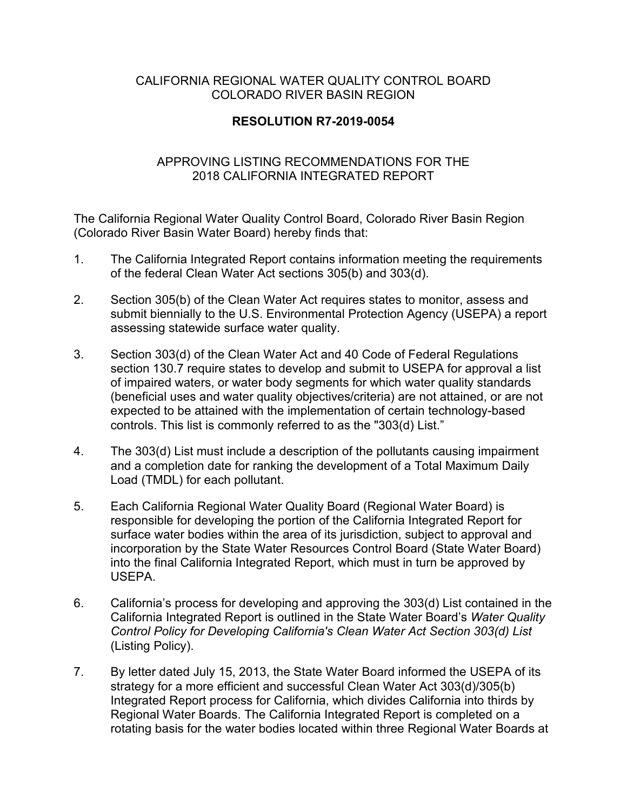#### CALIFORNIA REGIONAL WATER QUALITY CONTROL BOARD COLORADO RIVER BASIN REGION

### **RESOLUTION R7-2019-0054**

#### APPROVING LISTING RECOMMENDATIONS FOR THE 2018 CALIFORNIA INTEGRATED REPORT

The California Regional Water Quality Control Board, Colorado River Basin Region (Colorado River Basin Water Board) hereby finds that:

- 1. The California Integrated Report contains information meeting the requirements of the federal Clean Water Act sections 305(b) and 303(d).
- 2. Section 305(b) of the Clean Water Act requires states to monitor, assess and submit biennially to the U.S. Environmental Protection Agency (USEPA) a report assessing statewide surface water quality.
- 3. Section 303(d) of the Clean Water Act and 40 Code of Federal Regulations section 130.7 require states to develop and submit to USEPA for approval a list of impaired waters, or water body segments for which water quality standards (beneficial uses and water quality objectives/criteria) are not attained, or are not expected to be attained with the implementation of certain technology-based controls. This list is commonly referred to as the "303(d) List."
- 4. The 303(d) List must include a description of the pollutants causing impairment and a completion date for ranking the development of a Total Maximum Daily Load (TMDL) for each pollutant.
- 5. Each California Regional Water Quality Board (Regional Water Board) is responsible for developing the portion of the California Integrated Report for surface water bodies within the area of its jurisdiction, subject to approval and incorporation by the State Water Resources Control Board (State Water Board) into the final California Integrated Report, which must in turn be approved by USEPA.
- 6. California's process for developing and approving the 303(d) List contained in the California Integrated Report is outlined in the State Water Board's *Water Quality Control Policy for Developing California's Clean Water Act Section 303(d) List* (Listing Policy).
- 7. By letter dated July 15, 2013, the State Water Board informed the USEPA of its strategy for a more efficient and successful Clean Water Act 303(d)/305(b) Integrated Report process for California, which divides California into thirds by Regional Water Boards. The California Integrated Report is completed on a rotating basis for the water bodies located within three Regional Water Boards at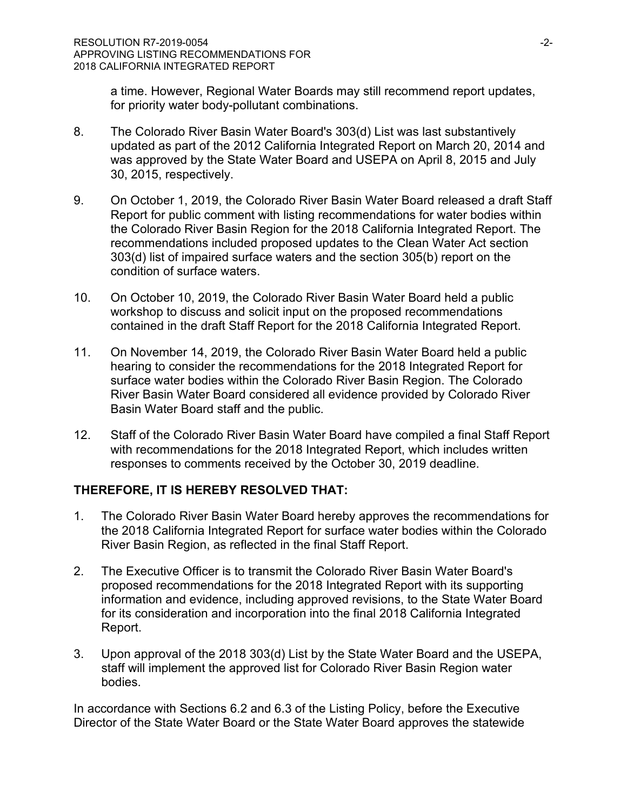a time. However, Regional Water Boards may still recommend report updates, for priority water body-pollutant combinations.

- 8. The Colorado River Basin Water Board's 303(d) List was last substantively updated as part of the 2012 California Integrated Report on March 20, 2014 and was approved by the State Water Board and USEPA on April 8, 2015 and July 30, 2015, respectively.
- 9. On October 1, 2019, the Colorado River Basin Water Board released a draft Staff Report for public comment with listing recommendations for water bodies within the Colorado River Basin Region for the 2018 California Integrated Report. The recommendations included proposed updates to the Clean Water Act section 303(d) list of impaired surface waters and the section 305(b) report on the condition of surface waters.
- 10. On October 10, 2019, the Colorado River Basin Water Board held a public workshop to discuss and solicit input on the proposed recommendations contained in the draft Staff Report for the 2018 California Integrated Report.
- 11. On November 14, 2019, the Colorado River Basin Water Board held a public hearing to consider the recommendations for the 2018 Integrated Report for surface water bodies within the Colorado River Basin Region. The Colorado River Basin Water Board considered all evidence provided by Colorado River Basin Water Board staff and the public.
- 12. Staff of the Colorado River Basin Water Board have compiled a final Staff Report with recommendations for the 2018 Integrated Report, which includes written responses to comments received by the October 30, 2019 deadline.

## **THEREFORE, IT IS HEREBY RESOLVED THAT:**

- 1. The Colorado River Basin Water Board hereby approves the recommendations for the 2018 California Integrated Report for surface water bodies within the Colorado River Basin Region, as reflected in the final Staff Report.
- 2. The Executive Officer is to transmit the Colorado River Basin Water Board's proposed recommendations for the 2018 Integrated Report with its supporting information and evidence, including approved revisions, to the State Water Board for its consideration and incorporation into the final 2018 California Integrated Report.
- 3. Upon approval of the 2018 303(d) List by the State Water Board and the USEPA, staff will implement the approved list for Colorado River Basin Region water bodies.

In accordance with Sections 6.2 and 6.3 of the Listing Policy, before the Executive Director of the State Water Board or the State Water Board approves the statewide